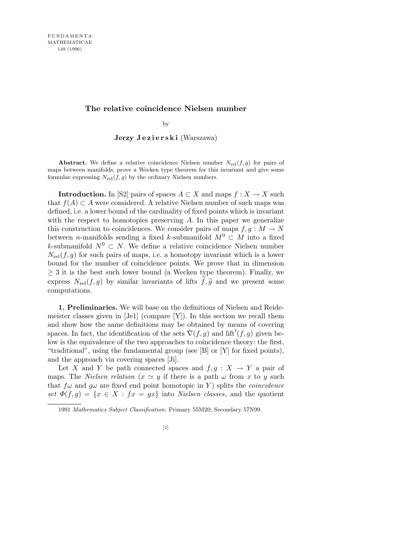## **The relative coincidence Nielsen number**

by

Jerzy Jezierski (Warszawa)

**Abstract.** We define a relative coincidence Nielsen number  $N_{\text{rel}}(f,g)$  for pairs of maps between manifolds, prove a Wecken type theorem for this invariant and give some formulae expressing  $N_{rel}(f, g)$  by the ordinary Nielsen numbers.

**Introduction.** In [S2] pairs of spaces  $A \subset X$  and maps  $f : X \to X$  such that  $f(A)$  ⊂ *A* were considered. A relative Nielsen number of such maps was defined, i.e. a lower bound of the cardinality of fixed points which is invariant with the respect to homotopies preserving A. In this paper we generalize this construction to coincidences. We consider pairs of maps  $f, g : M \to N$ between *n*-manifolds sending a fixed *k*-submanifold  $M^0 \subset M$  into a fixed *k*-submanifold  $N^0$  ⊂ *N*. We define a relative coincidence Nielsen number  $N_{\text{rel}}(f,g)$  for such pairs of maps, i.e. a homotopy invariant which is a lower bound for the number of coincidence points. We prove that in dimension *≥* 3 it is the best such lower bound (a Wecken type theorem). Finally, we express  $N_{rel}(f,g)$  by similar invariants of lifts  $f,\tilde{g}$  and we present some computations.

**1. Preliminaries.** We will base on the definitions of Nielsen and Reidemeister classes given in [Je1] (compare [Y]). In this section we recall them and show how the same definitions may be obtained by means of covering spaces. In fact, the identification of the sets  $\nabla(f, g)$  and lift<sup>'</sup> $(f, g)$  given below is the equivalence of the two approaches to coincidence theory: the first, "traditional", using the fundamental group (see [B] or [Y] for fixed points), and the approach via covering spaces [Ji].

Let *X* and *Y* be path connected spaces and  $f, g: X \to Y$  a pair of maps. The *Nielsen relation* ( $x \approx y$  if there is a path  $\omega$  from  $x$  to  $y$  such that  $f\omega$  and  $g\omega$  are fixed end point homotopic in *Y*) splits the *coincidence set*  $\Phi(f,g) = \{x \in X : fx = gx\}$  into *Nielsen classes*, and the quotient

<sup>1991</sup> *Mathematics Subject Classification*: Primary 55M20; Secondary 57N99.

<sup>[1]</sup>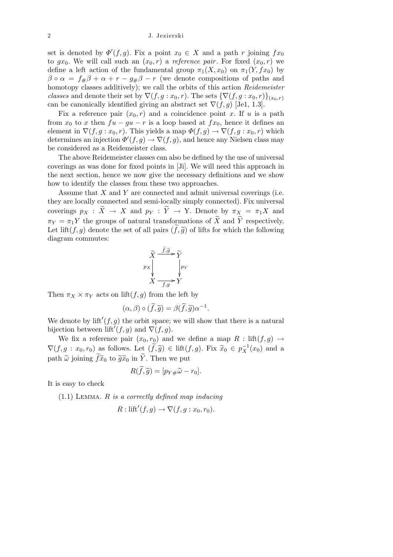## 2 J. Jezierski

set is denoted by  $\Phi'(f, g)$ . Fix a point  $x_0 \in X$  and a path *r* joining  $fx_0$ to  $gx_0$ . We will call such an  $(x_0, r)$  a *reference pair*. For fixed  $(x_0, r)$  we define a left action of the fundamental group  $\pi_1(X, x_0)$  on  $\pi_1(Y, fx_0)$  by  $\beta \circ \alpha = f_{\#}\beta + \alpha + r - g_{\#}\beta - r$  (we denote compositions of paths and homotopy classes additively); we call the orbits of this action *Reidemeister classes* and denote their set by  $\nabla(f, g : x_0, r)$ . The sets  $\{\nabla(f, g : x_0, r)\}_{(x_0, r)}$ can be canonically identified giving an abstract set  $\nabla(f, g)$  [Je1, 1.3].

Fix a reference pair  $(x_0, r)$  and a coincidence point *x*. If *u* is a path from  $x_0$  to  $x$  then  $fu - gu - r$  is a loop based at  $fx_0$ , hence it defines an element in  $\nabla(f, g: x_0, r)$ . This yields a map  $\Phi(f, g) \to \nabla(f, g: x_0, r)$  which determines an injection  $\Phi'(f,g) \to \nabla(f,g)$ , and hence any Nielsen class may be considered as a Reidemeister class.

The above Reidemeister classes can also be defined by the use of universal coverings as was done for fixed points in [Ji]. We will need this approach in the next section, hence we now give the necessary definitions and we show how to identify the classes from these two approaches.

Assume that *X* and *Y* are connected and admit universal coverings (i.e. they are locally connected and semi-locally simply connected). Fix universal coverings  $p_X : \tilde{X} \to X$  and  $p_Y : \tilde{Y} \to Y$ . Denote by  $\pi_X = \pi_1 X$  and  $\pi_Y = \pi_1 Y$  the groups of natural transformations of  $\widetilde{X}$  and  $\widetilde{Y}$  respectively. Let lift(*f, g*) denote the set of all pairs  $(f, \tilde{g})$  of lifts for which the following diagram commutes:

$$
\widetilde{X} \xrightarrow{\widetilde{f}, \widetilde{g}} \widetilde{Y}
$$
\n
$$
p_X \downarrow \qquad \qquad p_Y
$$
\n
$$
X \xrightarrow{f, g} Y
$$

Then  $\pi_X \times \pi_Y$  acts on lift $(f, g)$  from the left by

$$
(\alpha, \beta) \circ (\widetilde{f}, \widetilde{g}) = \beta(\widetilde{f}, \widetilde{g}) \alpha^{-1}.
$$

We denote by  $\mathrm{lift}'(f, g)$  the orbit space; we will show that there is a natural bijection between  $\mathrm{lift}^{\prime}(f,g)$  and  $\nabla(f,g)$ .

We fix a reference pair  $(x_0, r_0)$  and we define a map  $R : \text{lift}(f, g) \rightarrow$  $\nabla(f, g : x_0, r_0)$  as follows. Let  $(\widetilde{f}, \widetilde{g}) \in \text{lift}(f, g)$ . Fix  $\widetilde{x}_0 \in p_X^{-1}(x_0)$  and a path  $\tilde{\omega}$  joining  $\tilde{f} \tilde{x}_0$  to  $\tilde{g} \tilde{x}_0$  in  $\tilde{Y}$ . Then we put

$$
R(\widetilde{f}, \widetilde{g}) = [p_{Y\#}\widetilde{\omega} - r_0].
$$

It is easy to check

(1.1) Lemma. *R is a correctly defined map inducing*

$$
R: \mathrm{lift}'(f,g) \to \nabla(f,g:x_0,r_0).
$$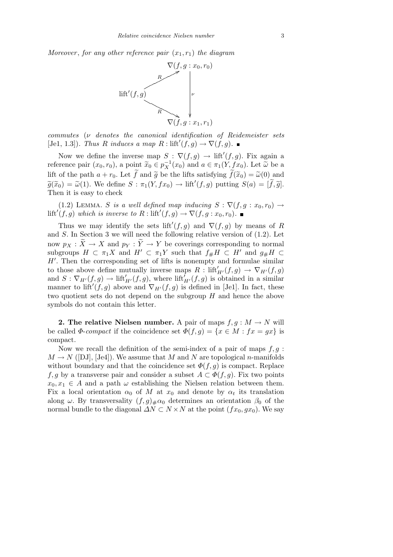*Moreover*, *for any other reference pair*  $(x_1, r_1)$  *the diagram* 



*commutes* (*ν denotes the canonical identification of Reidemeister sets*  $[Je1, 1.3]$ *). Thus R induces a map*  $R: \text{lift}'(f, g) \to \nabla(f, g)$ *.* 

Now we define the inverse map  $S : \nabla(f, g) \to \text{lift}'(f, g)$ . Fix again a reference pair  $(x_0, r_0)$ , a point  $\widetilde{x}_0 \in p_X^{-1}(x_0)$  and  $a \in \pi_1(Y, fx_0)$ . Let  $\widetilde{\omega}$  be a lift of the path  $a + r_0$ . Let  $\tilde{f}$  and  $\tilde{g}$  be the lifts satisfying  $\tilde{f}(\tilde{x}_0) = \tilde{\omega}(0)$  and  $\widetilde{g}(\widetilde{x}_0) = \widetilde{\omega}(1)$ . We define  $S : \pi_1(Y, fx_0) \to \text{lift}'(f, g)$  putting  $S(a) = [\widetilde{f}, \widetilde{g}]$ . Then it is easy to check

(1.2) LEMMA. *S is a well defined map inducing*  $S : \nabla (f, g : x_0, r_0) \rightarrow$  $\text{lift}'(f, g)$  *which is inverse to*  $R: \text{lift}'(f, g) \to \nabla(f, g: x_0, r_0)$ .

Thus we may identify the sets lift<sup> $\prime$ </sup>(*f, g*) and  $\nabla$ (*f, g*) by means of *R* and *S*. In Section 3 we will need the following relative version of (1.2). Let now  $p_X : \widetilde{X} \to X$  and  $p_Y : \widetilde{Y} \to Y$  be coverings corresponding to normal subgroups  $H \subset \pi_1 X$  and  $H' \subset \pi_1 Y$  such that  $f_{\#} H \subset H'$  and  $g_{\#} H \subset$  $H'$ . Then the corresponding set of lifts is nonempty and formulae similar to those above define mutually inverse maps  $R : \text{lift}'_{H'}(f,g) \rightarrow \nabla_{H'}(f,g)$ and  $S: \nabla_{H'}(f,g) \to \text{lift}'_{H'}(f,g)$ , where  $\text{lift}'_{H'}(f,g)$  is obtained in a similar manner to lift<sup> $\ell(f, g)$ </sup> above and  $\nabla_{H'}(f, g)$  is defined in [Je1]. In fact, these two quotient sets do not depend on the subgroup *H* and hence the above symbols do not contain this letter.

**2. The relative Nielsen number.** A pair of maps  $f, g: M \to N$  will be called  $\Phi$ -*compact* if the coincidence set  $\Phi(f, g) = \{x \in M : fx = gx\}$  is compact.

Now we recall the definition of the semi-index of a pair of maps *f, g* :  $M \to N$  ([DJ], [Je4]). We assume that *M* and *N* are topological *n*-manifolds without boundary and that the coincidence set  $\Phi(f, g)$  is compact. Replace *f, g* by a transverse pair and consider a subset  $A \subset \Phi(f, g)$ . Fix two points  $x_0, x_1 \in A$  and a path  $\omega$  establishing the Nielsen relation between them. Fix a local orientation  $\alpha_0$  of M at  $x_0$  and denote by  $\alpha_t$  its translation along  $\omega$ . By transversality  $(f, g)_{\#}\alpha_0$  determines an orientation  $\beta_0$  of the normal bundle to the diagonal  $\Delta N \subset N \times N$  at the point  $(fx_0, gx_0)$ . We say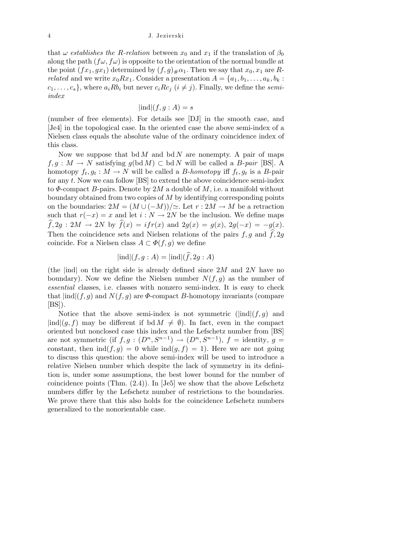that  $\omega$  *establishes the R-relation* between  $x_0$  and  $x_1$  if the translation of  $\beta_0$ along the path  $(f\omega, f\omega)$  is opposite to the orientation of the normal bundle at the point  $(fx_1, gx_1)$  determined by  $(f, g)_\# \alpha_1$ . Then we say that  $x_0, x_1$  are *Rrelated* and we write  $x_0 R x_1$ . Consider a presentation  $A = \{a_1, b_1, \ldots, a_k, b_k\}$ .  $c_1, \ldots, c_s$ , where  $a_i R b_i$  but never  $c_i R c_j$  ( $i \neq j$ ). Finally, we define the *semiindex*

$$
|\text{ind}|(f,g:A) = s
$$

(number of free elements). For details see [DJ] in the smooth case, and [Je4] in the topological case. In the oriented case the above semi-index of a Nielsen class equals the absolute value of the ordinary coincidence index of this class.

Now we suppose that bd *M* and bd *N* are nonempty. A pair of maps  $f, g: M \to N$  satisfying  $g(\text{bd } M) \subset \text{bd } N$  will be called a *B*-*pair* [BS]. A homotopy  $f_t, g_t : M \to N$  will be called a *B*-*homotopy* iff  $f_t, g_t$  is a *B*-pair for any *t*. Now we can follow [BS] to extend the above coincidence semi-index to *Φ*-compact *B*-pairs. Denote by 2*M* a double of *M*, i.e. a manifold without boundary obtained from two copies of *M* by identifying corresponding points on the boundaries:  $2M = (M \cup (-M))/\simeq$ . Let  $r: 2M \rightarrow M$  be a retraction such that  $r(-x) = x$  and let  $i : N \to 2N$  be the inclusion. We define maps  $\widehat{f}$ , 2*g* : 2*M*  $\rightarrow$  2*N* by  $\widehat{f}(x) = i f r(x)$  and 2*g*(*x*) = *g*(*x*), 2*g*(*-x*) = *-g*(*x*). Then the coincidence sets and Nielsen relations of the pairs  $f, g$  and  $\widehat{f}, 2g$ coincide. For a Nielsen class  $A \subset \Phi(f, g)$  we define

$$
|\text{ind}|(f,g:A) = |\text{ind}|(\widehat{f}, 2g:A)
$$

(the *|*ind*|* on the right side is already defined since 2*M* and 2*N* have no boundary). Now we define the Nielsen number  $N(f, g)$  as the number of *essential* classes, i.e. classes with nonzero semi-index. It is easy to check that  $|ind|(f,g)$  and  $N(f,g)$  are  $\Phi$ -compact *B*-homotopy invariants (compare  $[BS]$ ).

Notice that the above semi-index is not symmetric  $(|\text{ind}|(f,g))$  and  $|ind|(q, f)$  may be different if bd  $M \neq \emptyset$ ). In fact, even in the compact oriented but nonclosed case this index and the Lefschetz number from [BS] are not symmetric (if  $f, g : (D<sup>n</sup>, S<sup>n-1</sup>) \rightarrow (D<sup>n</sup>, S<sup>n-1</sup>)$ ,  $f =$  identity,  $g =$ constant, then  $\text{ind}(f, g) = 0$  while  $\text{ind}(g, f) = 1$ ). Here we are not going to discuss this question: the above semi-index will be used to introduce a relative Nielsen number which despite the lack of symmetry in its definition is, under some assumptions, the best lower bound for the number of coincidence points (Thm. (2.4)). In [Je5] we show that the above Lefschetz numbers differ by the Lefschetz number of restrictions to the boundaries. We prove there that this also holds for the coincidence Lefschetz numbers generalized to the nonorientable case.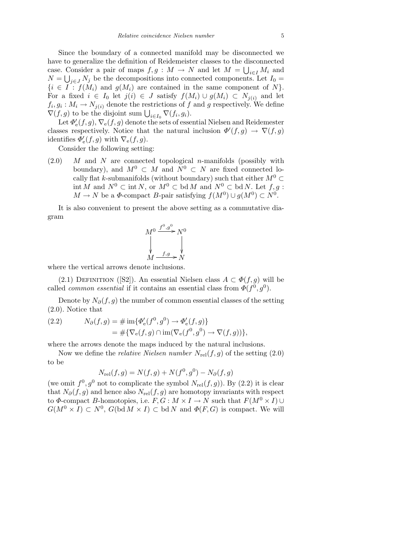Since the boundary of a connected manifold may be disconnected we have to generalize the definition of Reidemeister classes to the disconnected case. Consider a pair of maps  $f, g : M \to N$  and let  $M = \bigcup_{i \in I} M_i$  and  $N = \bigcup_{j \in J} N_j$  be the decompositions into connected components. Let  $I_0 =$  $\{i \in I : f(M_i) \text{ and } g(M_i) \text{ are contained in the same component of } N\}.$ For a fixed  $i \in I_0$  let  $j(i) \in J$  satisfy  $f(M_i) \cup g(M_i) \subset N_{j(i)}$  and let  $f_i, g_i: M_i \to N_{j(i)}$  denote the restrictions of *f* and *g* respectively. We define  $\nabla f, g_i : M_i \to N_j(i)$  denote the restrictions of *J*<br> $\nabla(f, g)$  to be the disjoint sum  $\bigcup_{i \in I_0} \nabla(f_i, g_i)$ .

Let  $\varPhi_{\rm e}'(f,g), \nabla_{\rm e}(f,g)$  denote the sets of essential Nielsen and Reidemester classes respectively. Notice that the natural inclusion  $\Phi'(f,g) \to \nabla(f,g)$ identifies  $\Phi_{\rm e}'(f,g)$  with  $\nabla_{\rm e}(f,g)$ .

Consider the following setting:

(2.0) *M* and *N* are connected topological *n*-manifolds (possibly with boundary), and  $M^0 \subset M$  and  $N^0 \subset N$  are fixed connected locally flat *k*-submanifolds (without boundary) such that either  $M^0 \subset$ int *M* and *N*<sup>0</sup> *⊂* int *N*, or *M*<sup>0</sup> *⊂* bd *M* and *N*<sup>0</sup> *⊂* bd *N*. Let *f, g* :  $M \to N$  be a  $\Phi$ -compact *B*-pair satisfying  $f(M^0) \cup g(M^0) \subset N^0$ .

It is also convenient to present the above setting as a commutative diagram

$$
M^0 \xrightarrow{f^0, g^0} N^0
$$
  
\n
$$
\downarrow \qquad \qquad M \xrightarrow{f,g} N
$$

where the vertical arrows denote inclusions.

(2.1) DEFINITION ([S2]). An essential Nielsen class  $A \subset \Phi(f, g)$  will be called *common essential* if it contains an essential class from  $\Phi(f^0, g^0)$ .

Denote by  $N_{\partial}(f, g)$  the number of common essential classes of the setting (2.0). Notice that

(2.2) 
$$
N_{\partial}(f,g) = \# \operatorname{im} \{ \Phi_{\mathbf{e}}'(f^0, g^0) \to \Phi_{\mathbf{e}}'(f,g) \} = \# \{ \nabla_{\mathbf{e}}(f,g) \cap \operatorname{im} (\nabla_{\mathbf{e}}(f^0, g^0) \to \nabla(f,g)) \},
$$

where the arrows denote the maps induced by the natural inclusions.

Now we define the *relative Nielsen number*  $N_{rel}(f, g)$  of the setting  $(2.0)$ to be

$$
N_{\rm rel}(f,g) = N(f,g) + N(f^0, g^0) - N_{\partial}(f,g)
$$

(we omit  $f^0, g^0$  not to complicate the symbol  $N_{rel}(f, g)$ ). By (2.2) it is clear that  $N_{\partial}(f, g)$  and hence also  $N_{rel}(f, g)$  are homotopy invariants with respect to  $\Phi$ -compact *B*-homotopies, i.e.  $F, G : M \times I \to N$  such that  $F(M^0 \times I) \cup$  $G(M^0 \times I) \subset N^0$ ,  $G(\text{bd } M \times I) \subset \text{bd } N$  and  $\Phi(F, G)$  is compact. We will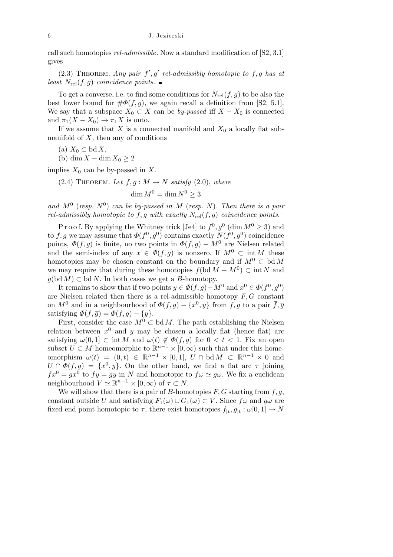call such homotopies *rel-admissible*. Now a standard modification of [S2, 3.1] gives

 $(2.3)$  THEOREM. *Any pair*  $f', g'$  *rel-admissibly homotopic to*  $f, g$  *has at least*  $N_{\text{rel}}(f, g)$  *coincidence points.* 

To get a converse, i.e. to find some conditions for  $N_{rel}(f, g)$  to be also the best lower bound for  $\#\Phi(f,g)$ , we again recall a definition from [S2, 5.1]. We say that a subspace  $X_0 \subset X$  can be *by-passed* iff  $X - X_0$  is connected and  $\pi_1(X - X_0) \to \pi_1 X$  is onto.

If we assume that *X* is a connected manifold and  $X_0$  a locally flat submanifold of  $X$ , then any of conditions

(a) *X*<sup>0</sup> *⊂* bd *X*,

(b) dim *X −* dim *X*<sup>0</sup> *≥* 2

implies  $X_0$  can be by-passed in  $X$ .

 $(2.4)$  THEOREM. Let  $f, g: M \rightarrow N$  *satisfy*  $(2.0)$ *, where* 

$$
\dim M^0 = \dim N^0 \ge 3
$$

and  $M^0$  (*resp.*  $N^0$ ) *can be by-passed in*  $M$  (*resp.*  $N$ )*. Then there is a pair rel-admissibly homotopic to*  $f, g$  *with exactly*  $N_{\text{rel}}(f, g)$  *coincidence points.* 

P r o o f. By applying the Whitney trick [Je4] to  $f^0, g^0$  (dim  $M^0 \geq 3$ ) and to  $f, g$  we may assume that  $\Phi(f^0, g^0)$  contains exactly  $N(f^0, g^0)$  coincidence points,  $\Phi(f, g)$  is finite, no two points in  $\Phi(f, g) - M^0$  are Nielsen related and the semi-index of any  $x \in \Phi(f, g)$  is nonzero. If  $M^0 \subset \text{int } M$  these homotopies may be chosen constant on the boundary and if  $M^0 \subset \text{bd } M$ we may require that during these homotopies  $f(\text{bd }M - M^0) \subset \text{int }N$  and  $g(\text{bd }M) \subset \text{bd }N$ . In both cases we get a *B*-homotopy.

It remains to show that if two points  $y \in \Phi(f, g) - M^0$  and  $x^0 \in \Phi(f^0, g^0)$ are Nielsen related then there is a rel-admissible homotopy *F, G* constant on  $M^0$  and in a neighbourhood of  $\Phi(f, g) - \{x^0, y\}$  from  $f, g$  to a pair  $\bar{f}, \bar{g}$ satisfying  $\Phi(\bar{f}, \bar{g}) = \Phi(f, g) - \{y\}.$ 

First, consider the case  $M^0 \subset \text{bd } M$ . The path establishing the Nielsen relation between  $x^0$  and  $y$  may be chosen a locally flat (hence flat) arc satisfying  $\omega(0,1] \subset \text{int } M$  and  $\omega(t) \notin \Phi(f,g)$  for  $0 < t < 1$ . Fix an open subset  $U \subset M$  homeomorphic to  $\mathbb{R}^{n-1} \times [0, \infty)$  such that under this homeomorphism  $\omega(t) = (0,t) \in \mathbb{R}^{n-1} \times [0,1], U \cap \text{bd } M \subset \mathbb{R}^{n-1} \times 0$  and  $U \cap \Phi(f, g) = \{x^0, y\}$ . On the other hand, we find a flat arc *τ* joining  $fx^0 = gx^0$  to  $fy = gy$  in *N* and homotopic to  $f\omega \simeq g\omega$ . We fix a euclidean neighbourhood  $V \simeq \mathbb{R}^{n-1} \times [0, \infty)$  of  $\tau \subset N$ .

We will show that there is a pair of *B*-homotopies *F, G* starting from *f, g*, constant outside *U* and satisfying  $F_1(\omega) \cup G_1(\omega) \subset V$ . Since  $f\omega$  and  $g\omega$  are fixed end point homotopic to  $\tau$ , there exist homotopies  $f_{|t}, g_{|t} : \omega[0,1] \to N$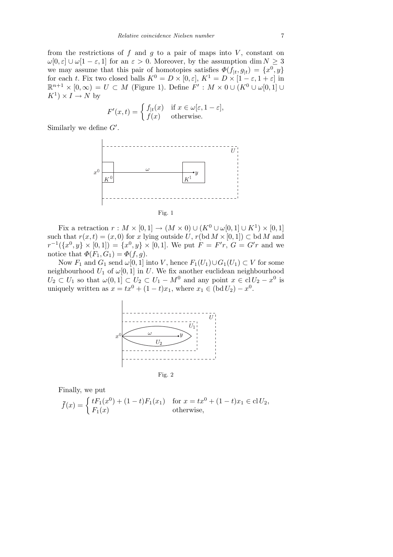from the restrictions of  $f$  and  $g$  to a pair of maps into  $V$ , constant on *ω*[0*, ε*] *∪ ω*[1 − *ε,* 1] for an *ε* > 0*.* Moreover, by the assumption dim  $N \ge 3$ we may assume that this pair of homotopies satisfies  $\Phi(f|_t, g|_t) = \{x^0, y\}$ for each *t*. Fix two closed balls  $K^0 = D \times [0, \varepsilon], K^1 = D \times [1 - \varepsilon, 1 + \varepsilon]$  in  $\mathbb{R}^{n+1} \times [0, \infty) = U \subset M$  (Figure 1). Define  $F' : M \times 0 \cup (K^0 \cup \omega[0, 1])$  $K^1$ ) × *I* → *N* by

$$
F'(x,t) = \begin{cases} f_{|t}(x) & \text{if } x \in \omega[\varepsilon, 1-\varepsilon], \\ f(x) & \text{otherwise.} \end{cases}
$$

Similarly we define  $G'$ .



Fix a retraction  $r : M \times [0,1] \to (M \times 0) \cup (K^0 \cup \omega[0,1] \cup K^1) \times [0,1]$ such that  $r(x,t) = (x,0)$  for *x* lying outside *U*,  $r(\text{bd } M \times [0,1]) \subset \text{bd } M$  and  $r^{-1}(\lbrace x^0, y \rbrace \times [0, 1]) = \lbrace x^0, y \rbrace \times [0, 1]$ . We put  $F = F'r$ ,  $G = G'r$  and we notice that  $\Phi(F_1, G_1) = \Phi(f, g)$ .

Now  $F_1$  and  $G_1$  send  $\omega[0,1]$  into *V*, hence  $F_1(U_1) \cup G_1(U_1) \subset V$  for some neighbourhood  $U_1$  of  $\omega[0,1]$  in  $U$ . We fix another euclidean neighbourhood  $U_2 \subset U_1$  so that  $\omega(0,1] \subset U_2 \subset U_1 - M^0$  and any point  $x \in \text{cl } U_2 - x^0$  is uniquely written as  $x = tx^0 + (1 - t)x_1$ , where  $x_1 \in (bd U_2) - x^0$ .



Finally, we put

$$
\bar{f}(x) = \begin{cases} tF_1(x^0) + (1-t)F_1(x_1) & \text{for } x = tx^0 + (1-t)x_1 \in \text{cl } U_2, \\ F_1(x) & \text{otherwise,} \end{cases}
$$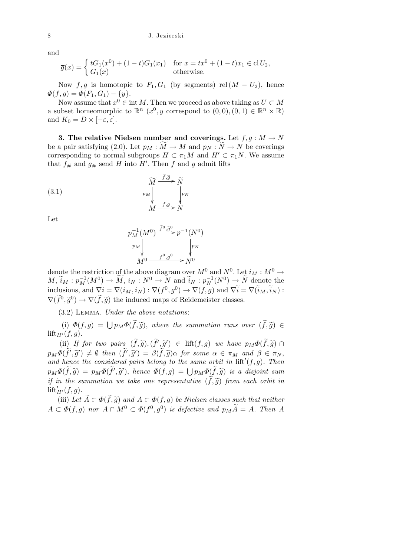## 8 J. Jezierski

and

$$
\overline{g}(x) = \begin{cases} tG_1(x^0) + (1-t)G_1(x_1) & \text{for } x = tx^0 + (1-t)x_1 \in \text{cl } U_2, \\ G_1(x) & \text{otherwise.} \end{cases}
$$

Now  $\bar{f}, \bar{g}$  is homotopic to  $F_1, G_1$  (by segments) rel  $(M - U_2)$ , hence  $\Phi(\bar{f}, \bar{g}) = \Phi(F_1, G_1) - \{y\}.$ 

Now assume that  $x^0 \in \text{int } M$ . Then we proceed as above taking as  $U \subset M$ a subset homeomorphic to  $\mathbb{R}^n$   $(x^0, y$  correspond to  $(0,0), (0,1) \in \mathbb{R}^n \times \mathbb{R}$ ) and  $K_0 = D \times [-\varepsilon, \varepsilon].$ 

**3. The relative Nielsen number and coverings.** Let  $f, g: M \rightarrow N$ be a pair satisfying (2.0). Let  $p_M : \overline{M} \to M$  and  $p_N : N \to N$  be coverings corresponding to normal subgroups  $H \subset \pi_1 M$  and  $H' \subset \pi_1 N$ . We assume that  $f_{\#}$  and  $g_{\#}$  send *H* into *H'*. Then *f* and *g* admit lifts

(3.1) 
$$
\widetilde{M} \xrightarrow{f, \widetilde{g}} \widetilde{N}
$$
\n
$$
p_M \downarrow \qquad p_N
$$
\n
$$
M \xrightarrow{f, g} N
$$

Let

$$
p_M^{-1}(M^0) \xrightarrow{\tilde{f}^0, \tilde{g}^0} p^{-1}(N^0)
$$
  
\n
$$
p_M
$$
  
\n
$$
M^0 \xrightarrow{f^0, g^0} N^0
$$
  
\n
$$
N^0
$$

denote the restriction of the above diagram over  $M^0$  and  $N^0$ . Let  $i_M : M^0 \to$  $M, \widetilde{i}_M : p_M^{-1}(M^0) \to \widetilde{M}, i_N : N^0 \to \widetilde{N}$  and  $\widetilde{i}_N : p_N^{-1}(N^0) \to \widetilde{N}$  denote the inclusions, and  $\nabla i = \nabla(i_M, i_N) : \nabla(f^0, g^0) \to \nabla(f, g)$  and  $\nabla \tilde{i} = \nabla(\tilde{i}_M, \tilde{i}_N)$ :  $\nabla(\widetilde{f}^0, \widetilde{g}^0) \rightarrow \nabla(\widetilde{f}, \widetilde{g})$  the induced maps of Reidemeister classes.

(3.2) Lemma. *Under the above notations*:

(i)  $\Phi(f,g) = \bigcup p_M \Phi(\tilde{f}, \tilde{g})$ , where the summation runs over  $(\tilde{f}, \tilde{g}) \in$  $\text{lift}_{H'}(f,q)$ .

(ii) If for two pairs  $(\tilde{f}, \tilde{g}), (\tilde{f}', \tilde{g}') \in \text{lift}(f, g)$  we have  $p_M \Phi(\tilde{f}, \tilde{g}) \cap$  $p_M\Phi(\tilde{f}',\tilde{g}') \neq \emptyset$  then  $(\tilde{f}',\tilde{g}') = \beta(\tilde{f},\tilde{g})\alpha$  for some  $\alpha \in \pi_M$  and  $\beta \in \pi_N$ , and hence the considered pairs belong to the same orbit in  $\text{lift}'(f, g)$ . Then  $p_M\Phi(\tilde{f},\tilde{g}) = p_M\Phi(\tilde{f}',\tilde{g}')$ , hence  $\Phi(f,g) = \bigcup p_M\Phi(\tilde{f},\tilde{g})$  is a disjoint sum *if in the summation we take one representative*  $(f, \tilde{g})$  *from each orbit in*  $\text{lift}'_{H'}(f,g)$ .

(iii) Let  $\widetilde{A} \subset \Phi(\widetilde{f}, \widetilde{g})$  and  $A \subset \Phi(f, g)$  be Nielsen classes such that neither  $A \subset \Phi(f, g)$  *nor*  $A \cap M^0 \subset \Phi(f^0, g^0)$  *is defective and*  $p_M \widetilde{A} = A$ *. Then A*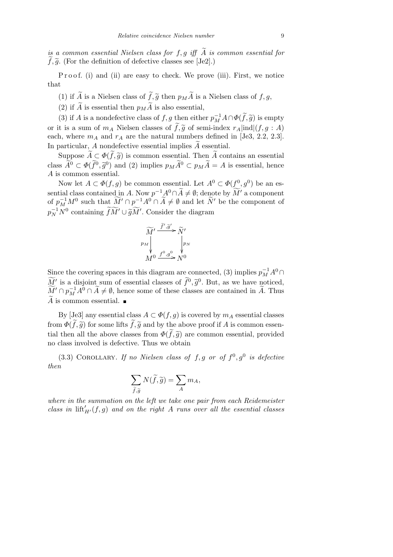*is a common essential Nielsen class for*  $f, g$  *iff*  $\tilde{A}$  *is common essential for*  $\tilde{f}, \tilde{g}$ . (For the definition of defective classes see [Je2].)

P r o o f. (i) and (ii) are easy to check. We prove (iii). First, we notice that

- (1) if  $\widetilde{A}$  is a Nielsen class of  $\widetilde{f}, \widetilde{g}$  then  $p_M \widetilde{A}$  is a Nielsen class of  $f, g$ ,
- (2) if  $\widetilde{A}$  is essential then  $p_M\widetilde{A}$  is also essential,

(3) if *A* is a nondefective class of *f*, *g* then either  $p_M^{-1}A \cap \Phi(\tilde{f}, \tilde{g})$  is empty or it is a sum of  $m_A$  Nielsen classes of  $\tilde{f}, \tilde{g}$  of semi-index  $r_A$  |ind|(f, g : A) each, where  $m_A$  and  $r_A$  are the natural numbers defined in [Je3, 2.2, 2.3]. In particular,  $A$  nondefective essential implies  $\tilde{A}$  essential.

Suppose  $\widetilde{A} \subset \Phi(\widetilde{f}, \widetilde{g})$  is common essential. Then  $\widetilde{A}$  contains an essential class  $\widetilde{A}^0 \subset \Phi(\widetilde{f}^0, \widetilde{g}^0)$  and (2) implies  $p_M \widetilde{A}^0 \subset p_M \widetilde{A} = A$  is essential, hence *A* is common essential.

Now let  $A \subset \Phi(f, g)$  be common essential. Let  $A^0 \subset \Phi(f^0, g^0)$  be an essential class contained in *A*. Now  $p^{-1}A^0 \cap \widetilde{A} \neq \emptyset$ ; denote by  $\widetilde{M}'$  a component of  $p_M^{-1}M^0$  such that  $\widetilde{M}' \cap p^{-1}A^0 \cap \widetilde{A} \neq \emptyset$  and let  $\widetilde{N}'$  be the component of  $p_N^{-1}N^0$  containing  $\widetilde{f}\widetilde{M}$ <sup>*'*</sup>  $\cup \widetilde{g}\widetilde{M}$ <sup>*'*</sup>. Consider the diagram



Since the covering spaces in this diagram are connected, (3) implies  $p_M^{-1}A^0 \cap$  $\widetilde{M}'$  is a disjoint sum of essential classes of  $\widetilde{f}^0$ ,  $\widetilde{g}^0$ . But, as we have noticed,  $\widetilde{M}' \cap p_M^{-1}A^0 \cap \widetilde{A} \neq \emptyset$ , hence some of these classes are contained in  $\widetilde{A}$ . Thus  $\widetilde{A}$  is common essential.

By [Je3] any essential class  $A \subset \Phi(f, g)$  is covered by  $m_A$  essential classes from  $\Phi(\tilde{f}, \tilde{g})$  for some lifts  $\tilde{f}, \tilde{g}$  and by the above proof if *A* is common essential then all the above classes from  $\Phi(\tilde{f}, \tilde{g})$  are common essential, provided no class involved is defective. Thus we obtain

 $(3.3)$  COROLLARY. If no Nielsen class of f, g or of  $f^0$ ,  $g^0$  is defective *then*

$$
\sum_{\widetilde{f},\widetilde{g}} N(\widetilde{f},\widetilde{g}) = \sum_{A} m_A,
$$

*where in the summation on the left we take one pair from each Reidemeister class in*  $\mathrm{lift}_{H'}(f,g)$  *and on the right A runs over all the essential classes*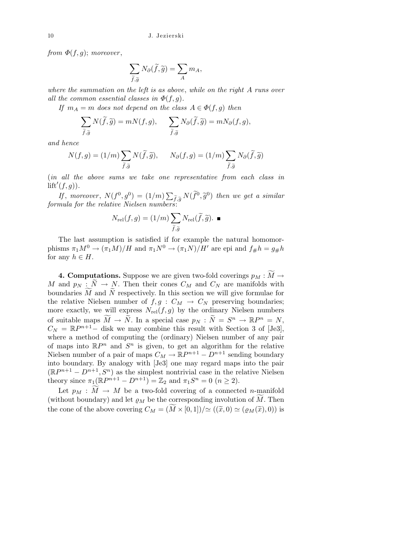*from*  $\Phi(f, g)$ ; *moreover*,

$$
\sum_{\widetilde{f},\widetilde{g}} N_{\partial}(\widetilde{f},\widetilde{g}) = \sum_{A} m_A,
$$

*where the summation on the left is as above*, *while on the right A runs over all the common essential classes in*  $\Phi(f, g)$ *.* 

*If*  $m_A = m$  *does not depend on the class*  $A \in \Phi(f, g)$  *then* 

$$
\sum_{\widetilde{f},\widetilde{g}} N(\widetilde{f},\widetilde{g}) = m N(f,g), \qquad \sum_{\widetilde{f},\widetilde{g}} N_{\partial}(\widetilde{f},\widetilde{g}) = m N_{\partial}(f,g),
$$

*and hence*

$$
N(f,g) = (1/m) \sum_{\tilde{f}, \tilde{g}} N(\tilde{f}, \tilde{g}), \qquad N_{\partial}(f,g) = (1/m) \sum_{\tilde{f}, \tilde{g}} N_{\partial}(\tilde{f}, \tilde{g})
$$

(*in all the above sums we take one representative from each class in*  $\text{lift}'(f, g)$ ).  $\overline{ }$ 

*If*, *moreover*,  $N(f^0, g^0) = (1/m)$  $\widetilde{f}_{\cdot,\widetilde{g}}\,N(\widetilde{f}^0,\widetilde{g}^0)$  then we get a similar *formula for the relative Nielsen numbers*:

$$
N_{\mathrm{rel}}(f,g) = (1/m) \sum_{\widetilde{f}, \widetilde{g}} N_{\mathrm{rel}}(\widetilde{f}, \widetilde{g}).
$$

The last assumption is satisfied if for example the natural homomorphisms  $\pi_1 M^0 \to (\pi_1 M)/H$  and  $\pi_1 N^0 \to (\pi_1 N)/H'$  are epi and  $f_{\#}h = g_{\#}h$ for any  $h \in H$ .

**4. Computations.** Suppose we are given two-fold coverings  $p_M : \widetilde{M} \to$ *M* and  $p_N : N \to N$ . Then their cones  $C_M$  and  $C_N$  are manifolds with boundaries  $\tilde{M}$  and  $\tilde{N}$  respectively. In this section we will give formulae for the relative Nielsen number of  $f, g : C_M \to C_N$  preserving boundaries; more exactly, we will express  $N_{rel}(f, g)$  by the ordinary Nielsen numbers of suitable maps  $\widetilde{M} \to \widetilde{N}$ . In a special case  $p_N : \widetilde{N} = S^n \to \mathbb{R}P^n = N$ ,  $C_N = \mathbb{R}P^{n+1}$ *-* disk we may combine this result with Section 3 of [Je3], where a method of computing the (ordinary) Nielsen number of any pair of maps into  $\mathbb{R}P^n$  and  $S^n$  is given, to get an algorithm for the relative Nielsen number of a pair of maps  $C_M \to \mathbb{R}P^{n+1} - D^{n+1}$  sending boundary into boundary. By analogy with [Je3] one may regard maps into the pair  $(\mathbb{R}P^{n+1} - D^{n+1}, S^n)$  as the simplest nontrivial case in the relative Nielsen theory since  $\pi_1(\mathbb{R}P^{n+1} - D^{n+1}) = \mathbb{Z}_2$  and  $\pi_1 S^n = 0$  ( $n \ge 2$ ).

Let  $p_M : M \to M$  be a two-fold covering of a connected *n*-manifold (without boundary) and let  $\rho_M$  be the corresponding involution of M. Then the cone of the above covering  $C_M = (M \times [0,1])/\simeq ((\tilde{x},0) \simeq (\rho_M(\tilde{x}),0))$  is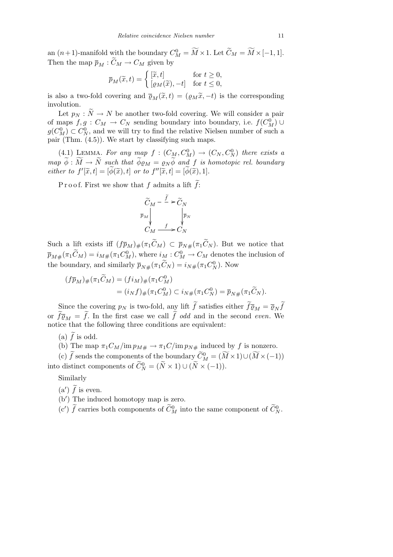an  $(n+1)$ -manifold with the boundary  $C_M^0 = \widetilde{M} \times 1$ . Let  $\widetilde{C}_M = \widetilde{M} \times [-1, 1]$ . Then the map  $\overline{p}_M : \widetilde{C}_M \to C_M$  given by

$$
\overline{p}_M(\widetilde{x}, t) = \begin{cases} [\widetilde{x}, t] & \text{for } t \ge 0, \\ [\varrho_M(\widetilde{x}), -t] & \text{for } t \le 0, \end{cases}
$$

is also a two-fold covering and  $\overline{\varrho}_M(\widetilde{x}, t) = (\varrho_M \widetilde{x}, -t)$  is the corresponding involution.

Let  $p_N : N \to N$  be another two-fold covering. We will consider a pair of maps  $f, g: C_M \to C_N$  sending boundary into boundary, i.e.  $f(C_M^0) \cup$  $g(C_M^0) \subset C_N^0$ , and we will try to find the relative Nielsen number of such a pair (Thm. (4.5)). We start by classifying such maps.

 $(4.1)$  LEMMA. For any map  $f : (C_M, C_M^0) \rightarrow (C_N, C_N^0)$  there exists a  $map \ \widetilde{\phi}: \widetilde{M} \rightarrow \widetilde{N}$  such that  $\widetilde{\phi}\varrho_M = \varrho_N \widetilde{\phi}$  and f is homotopic rel. boundary *either to*  $f'[\tilde{x}, t] = [\tilde{\phi}(\tilde{x}), t]$  *or to*  $f''[\tilde{x}, t] = [\tilde{\phi}(\tilde{x}), 1]$ *.* 

P r o o f. First we show that f admits a lift  $\tilde{f}$ :

$$
\widetilde{C}_M - \frac{\widetilde{f}}{\widetilde{p}_M} > \widetilde{C}_N
$$
\n
$$
\overline{p}_M \downarrow \qquad \qquad \downarrow \overline{p}_N
$$
\n
$$
C_M \xrightarrow{f} C_N
$$

Such a lift exists iff  $(f\bar{p}_M)_\#(\pi_1\tilde{C}_M) \subset \bar{p}_{N\#}(\pi_1\tilde{C}_N)$ . But we notice that  $\overline{p}_{M\#}(\pi_1 \widetilde{C}_M) = i_{M\#}(\pi_1 C_M^0)$ , where  $i_M : C_M^0 \to C_M$  denotes the inclusion of the boundary, and similarly  $\bar{p}_{N\#}(\pi_1 \tilde{C}_N) = i_{N\#}(\pi_1 C_N^0)$ . Now

$$
\begin{aligned} (f\overline{p}_M)_\#(\pi_1\widetilde{C}_M) &= (f i_M)_\#(\pi_1 C_M^0) \\ &= (i_N f)_\#(\pi_1 C_M^0) \subset i_N \#(\pi_1 C_N^0) = \overline{p}_{N\#}(\pi_1 \widetilde{C}_N). \end{aligned}
$$

Since the covering  $p_N$  is two-fold, any lift  $\tilde{f}$  satisfies either  $\tilde{f} \overline{p}_M = \overline{\varrho}_N \tilde{f}$ or  $\widetilde{f}_{\overline{Q}_M} = \widetilde{f}$ . In the first case we call  $\widetilde{f}$  *odd* and in the second *even*. We notice that the following three conditions are equivalent:

(a)  $\widetilde{f}$  is odd.

(b) The map  $\pi_1 C_M / \text{im } p_{M#} \to \pi_1 C / \text{im } p_{N#}$  induced by f is nonzero.

 $\widetilde{C}_{M}^{0} = (\widetilde{M} \times 1) \cup (\widetilde{M} \times (-1))$ into distinct components of  $\widetilde{C}_N^0 = (\widetilde{N} \times 1) \cup (\widetilde{N} \times (-1)).$ 

Similarly

- (a')  $\widetilde{f}$  is even.
- (b<sup>'</sup>) The induced homotopy map is zero.

(c')  $\tilde{f}$  carries both components of  $\tilde{C}_{M}^{0}$  into the same component of  $\tilde{C}_{N}^{0}$ .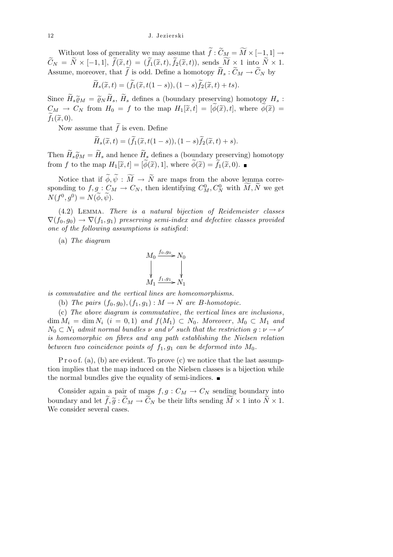Without loss of generality we may assume that  $\widetilde{f}: \widetilde{C}_M = \widetilde{M} \times [-1,1] \rightarrow$  $\widetilde{C}_N = \widetilde{N} \times [-1,1], \ \widetilde{f}(\widetilde{x},t) = (\widetilde{f}_1(\widetilde{x},t), \widetilde{f}_2(\widetilde{x},t)), \text{ sends } \widetilde{M} \times 1 \text{ into } \widetilde{N} \times 1.$ Assume, moreover, that  $\widetilde{f}$  is odd. Define a homotopy  $\widetilde{H}_s : \widetilde{C}_M \to \widetilde{C}_N$  by

$$
\widetilde{H}_s(\widetilde{x},t) = (\widetilde{f}_1(\widetilde{x},t(1-s)),(1-s)\widetilde{f}_2(\widetilde{x},t) + ts).
$$

Since  $\widetilde{H}_s \widetilde{\varrho}_M = \widetilde{\varrho}_N \widetilde{H}_s$ ,  $\widetilde{H}_s$  defines a (boundary preserving) homotopy  $H_s$ :  $C_M \rightarrow C_N$  from  $H_0 = f$  to the map  $H_1[\tilde{x}, t] = [\tilde{\phi}(\tilde{x}), t]$ , where  $\tilde{\phi}(\tilde{x}) =$  $\widetilde{f}_1(\widetilde{x}, 0)$ .

Now assume that  $\tilde{f}$  is even. Define

$$
\widetilde{H}_s(\widetilde{x},t) = (\widetilde{f}_1(\widetilde{x},t(1-s)),(1-s)\widetilde{f}_2(\widetilde{x},t) + s).
$$

Then  $\widetilde{H}_s \widetilde{\varrho}_M = \widetilde{H}_s$  and hence  $\widetilde{H}_s$  defines a (boundary preserving) homotopy from *f* to the map  $H_1[\tilde{x}, t] = [\tilde{\phi}(\tilde{x}), 1]$ , where  $\tilde{\phi}(\tilde{x}) = \tilde{f}_1(\tilde{x}, 0)$ .

Notice that if  $\widetilde{\phi}, \widetilde{\psi} : \widetilde{M} \to \widetilde{N}$  are maps from the above lemma corresponding to  $f, g: C_M \to C_N$ , then identifying  $C_M^0, C_N^0$  with  $\widetilde{M}, \widetilde{N}$  we get  $N(f^0, g^0) = N(\widetilde{\phi}, \widetilde{\psi}).$ 

(4.2) Lemma. *There is a natural bijection of Reidemeister classes*  $\nabla(f_0, g_0) \rightarrow \nabla(f_1, g_1)$  *preserving semi-index and defective classes provided one of the following assumptions is satisfied*:

(a) *The diagram*

$$
M_0 \xrightarrow{f_0, g_0} N_0
$$
  
\n
$$
\downarrow \qquad \qquad \downarrow
$$
  
\n
$$
M_1 \xrightarrow{f_1, g_1} N_1
$$

*is commutative and the vertical lines are homeomorphisms.*

(b) *The pairs*  $(f_0, g_0)$ ,  $(f_1, g_1)$  :  $M \rightarrow N$  *are B*-homotopic.

(c) *The above diagram is commutative*, *the vertical lines are inclusions*,  $\dim M_i = \dim N_i$   $(i = 0, 1)$  and  $f(M_1) \subset N_0$ . Moreover,  $M_0 \subset M_1$  and  $N_0 \subset N_1$  *admit normal bundles*  $\nu$  *and*  $\nu'$  *such that the restriction*  $g: \nu \to \nu'$ *is homeomorphic on fibres and any path establishing the Nielsen relation between two coincidence points of*  $f_1, g_1$  *can be deformed into*  $M_0$ *.* 

P r o o f. (a), (b) are evident. To prove (c) we notice that the last assumption implies that the map induced on the Nielsen classes is a bijection while the normal bundles give the equality of semi-indices.  $\blacksquare$ 

Consider again a pair of maps  $f, g: C_M \to C_N$  sending boundary into boundary and let  $\tilde{f}, \tilde{g} : \tilde{C}_M \to \tilde{C}_N$  be their lifts sending  $\widetilde{M} \times 1$  into  $\widetilde{N} \times 1$ . We consider several cases.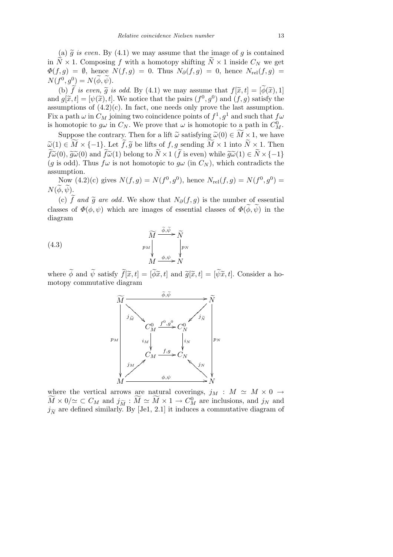(a)  $\tilde{g}$  *is even*. By (4.1) we may assume that the image of *g* is contained in  $\widetilde{N} \times 1$ . Composing *f* with a homotopy shifting  $\widetilde{N} \times 1$  inside  $C_N$  we get  $\Phi(f,g) = \emptyset$ , hence  $N(f,g) = 0$ . Thus  $N_{\partial}(f,g) = 0$ , hence  $N_{\text{rel}}(f,g) =$  $N(f^0, g^0) = N(\widetilde{\phi}, \widetilde{\psi}).$ 

(b)  $\tilde{f}$  *is even,*  $\tilde{g}$  *is odd.* By (4.1) we may assume that  $f[\tilde{x}, t] = [\tilde{\phi}(\tilde{x}), 1]$ and  $g[\tilde{x}, t] = [\psi(\tilde{x}), t]$ . We notice that the pairs  $(f^0, g^0)$  and  $(f, g)$  satisfy the assumptions of  $(4.2)(c)$ . In fact, one needs only prove the last assumption. Fix a path  $\omega$  in  $C_M$  joining two coincidence points of  $f^1, g^1$  and such that  $f\omega$ is homotopic to  $g\omega$  in  $C_N$ . We prove that  $\omega$  is homotopic to a path in  $C_M^0$ .

Suppose the contrary. Then for a lift  $\tilde{\omega}$  satisfying  $\tilde{\omega}(0) \in \widetilde{M} \times 1$ , we have  $\widetilde{\omega}(1) \in \widetilde{M} \times \{-1\}$ . Let  $\widetilde{f}, \widetilde{g}$  be lifts of  $f, g$  sending  $\widetilde{M} \times 1$  into  $\widetilde{N} \times 1$ . Then  $\widetilde{f}\widetilde{\omega}(0), \widetilde{g}\widetilde{\omega}(0)$  and  $\widetilde{f}\widetilde{\omega}(1)$  belong to  $\widetilde{N} \times 1$  ( $\widetilde{f}$  is even) while  $\widetilde{g}\widetilde{\omega}(1) \in \widetilde{N} \times \{-1\}$ (*g* is odd). Thus  $f\omega$  is not homotopic to  $g\omega$  (in  $C_N$ ), which contradicts the assumption.

Now  $(4.2)(c)$  gives  $N(f, g) = N(f^0, g^0)$ , hence  $N_{rel}(f, g) = N(f^0, g^0)$  $N(\phi, \psi)$ .

(c)  $\tilde{f}$  and  $\tilde{g}$  are odd. We show that  $N_{\partial}(f,g)$  is the number of essential classes of  $\Phi(\phi, \psi)$  which are images of essential classes of  $\Phi(\phi, \psi)$  in the diagram

(4.3) 
$$
\widetilde{M} \xrightarrow{\widetilde{\phi}, \widetilde{\psi}} \widetilde{N}   
\n p_M \downarrow \qquad \downarrow \qquad \downarrow \qquad \downarrow \qquad \downarrow \qquad \downarrow \qquad \downarrow \qquad \downarrow \qquad \downarrow \qquad \downarrow \qquad \downarrow \qquad \downarrow \qquad \downarrow \qquad \downarrow \qquad \downarrow \qquad \downarrow \qquad \downarrow \qquad \downarrow \qquad \downarrow \qquad \downarrow \qquad \downarrow \qquad \downarrow \qquad \downarrow \qquad \downarrow \qquad \downarrow \qquad \downarrow \qquad \downarrow \qquad \downarrow \qquad \downarrow \qquad \downarrow \qquad \downarrow \qquad \downarrow \qquad \downarrow \qquad \downarrow \qquad \downarrow \qquad \downarrow \qquad \downarrow \qquad \downarrow \qquad \downarrow \qquad \downarrow \qquad \downarrow \qquad \downarrow \qquad \downarrow \qquad \downarrow \qquad \downarrow \qquad \downarrow \qquad \downarrow \qquad \downarrow \qquad \downarrow \qquad \downarrow \qquad \downarrow \qquad \downarrow \qquad \downarrow \qquad \downarrow \qquad \downarrow \qquad \downarrow \qquad \downarrow \qquad \downarrow \qquad \downarrow \qquad \downarrow \qquad \downarrow \qquad \downarrow \qquad \downarrow \qquad \downarrow \qquad \downarrow \qquad \downarrow \qquad \downarrow \qquad \downarrow \qquad \downarrow \qquad \downarrow \qquad \downarrow \qquad \downarrow \qquad \downarrow \qquad \downarrow \qquad \downarrow \qquad \downarrow \qquad \downarrow \qquad \downarrow \qquad \downarrow \qquad \downarrow \qquad \downarrow \qquad \downarrow \qquad \downarrow \qquad \downarrow \qquad \downarrow \qquad \downarrow \qquad \downarrow \qquad \downarrow \qquad \downarrow \qquad \downarrow \qquad \downarrow \qquad \downarrow \qquad \downarrow \qquad \downarrow \qquad \downarrow \qquad \downarrow \qquad \downarrow \qquad \downarrow \qquad \downarrow \qquad \downarrow \qquad \downarrow \qquad \downarrow \qquad \downarrow \qquad \downarrow \qquad \downarrow \qquad \downarrow \qquad \downarrow \qquad \downarrow \qquad \downarrow \qquad \downarrow \qquad \downarrow \qquad \downarrow \qquad \downarrow \qquad \downarrow \qquad \downarrow \qquad \downarrow \qquad \downarrow \qquad \downarrow \qquad \downarrow \qquad \downarrow \
$$

where  $\widetilde{\phi}$  and  $\widetilde{\psi}$  satisfy  $\widetilde{f}[\widetilde{x}, t] = [\widetilde{\phi}\widetilde{x}, t]$  and  $\widetilde{g}[\widetilde{x}, t] = [\widetilde{\psi}\widetilde{x}, t]$ . Consider a homotopy commutative diagram



where the vertical arrows are natural coverings,  $j_M$  :  $M \simeq M \times 0 \rightarrow$  $\widetilde{M} \times 0/\simeq \subset C_M$  and  $j_{\widetilde{M}} : \widetilde{M} \simeq \widetilde{M} \times 1 \to C_M^0$  are inclusions, and  $j_N$  and  $j_{\widetilde{N}}$  are defined similarly. By [Je1, 2.1] it induces a commutative diagram of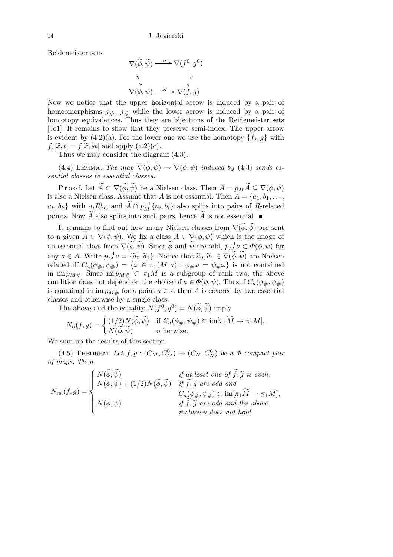Reidemeister sets

$$
\nabla(\widetilde{\phi}, \widetilde{\psi}) \xrightarrow{\varkappa} \nabla(f^0, g^0)
$$
\n
$$
\eta \qquad \qquad \eta \qquad \qquad \eta
$$
\n
$$
\nabla(\phi, \psi) \xrightarrow{\varkappa} \nabla(f, g)
$$

Now we notice that the upper horizontal arrow is induced by a pair of homeomorphisms  $j_{\widetilde{M}}$ ,  $j_{\widetilde{N}}$  while the lower arrow is induced by a pair of homotopy equivalences. Thus they are bijections of the Reidemeister sets [Je1]. It remains to show that they preserve semi-index. The upper arrow is evident by  $(4.2)(a)$ . For the lower one we use the homotopy  $\{f_s, g\}$  with  $f_s[\tilde{x}, t] = f[\tilde{x}, st]$  and apply  $(4.2)(c)$ .

Thus we may consider the diagram (4.3).

(4.4) LEMMA. *The map*  $\nabla(\widetilde{\phi}, \widetilde{\psi}) \rightarrow \nabla(\phi, \psi)$  *induced by* (4.3) *sends essential classes to essential classes.*

Proof. Let  $\widetilde{A} \subset \nabla(\widetilde{\phi}, \widetilde{\psi})$  be a Nielsen class. Then  $A = p_M \widetilde{A} \subseteq \nabla(\phi, \psi)$ is also a Nielsen class. Assume that *A* is not essential. Then  $A = \{a_1, b_1, \ldots,$  $a_k, b_k$  with  $a_i R b_i$ , and  $\widetilde{A} \cap p_M^{-1} \{a_i, b_i\}$  also splits into pairs of R-related points. Now  $\widetilde{A}$  also splits into such pairs, hence  $\widetilde{A}$  is not essential.

It remains to find out how many Nielsen classes from  $\nabla(\widetilde{\phi}, \widetilde{\psi})$  are sent to a given  $A \in \nabla(\phi, \psi)$ . We fix a class  $A \in \nabla(\phi, \psi)$  which is the image of an essential class from  $\nabla(\widetilde{\phi}, \widetilde{\psi})$ . Since  $\widetilde{\phi}$  and  $\widetilde{\psi}$  are odd,  $p_M^{-1}a \subset \Phi(\phi, \psi)$  for any  $a \in A$ . Write  $p_M^{-1}a = \{\tilde{a}_0, \tilde{a}_1\}$ . Notice that  $\tilde{a}_0, \tilde{a}_1 \in \nabla(\tilde{\phi}, \tilde{\psi})$  are Nielsen related iff  $C_a(\phi_{\#}, \psi_{\#}) = {\omega \in \pi_1(M, a) : \phi_{\#}\omega = \psi_{\#}\omega}$  is not contained in  $\lim p_{M\#}$ . Since  $\lim p_{M\#} \subset \pi_1 M$  is a subgroup of rank two, the above condition does not depend on the choice of  $a \in \Phi(\phi, \psi)$ . Thus if  $C_a(\phi_{\#}, \psi_{\#})$ is contained in  $\lim_{M \to \infty} p_M$  for a point  $a \in A$  then *A* is covered by two essential classes and otherwise by a single class.

The above and the equality  $N(f^0, g^0) = N(\tilde{\phi}, \tilde{\psi})$  imply

$$
N_{\partial}(f,g) = \begin{cases} (1/2)N(\widetilde{\phi},\widetilde{\psi}) & \text{if } C_a(\phi_{\#},\psi_{\#}) \subset \text{im}[\pi_1\widetilde{M} \to \pi_1M], \\ N(\widetilde{\phi},\widetilde{\psi}) & \text{otherwise.} \end{cases}
$$

We sum up the results of this section:

 $(4.5)$  THEOREM. Let  $f, g: (C_M, C_M^0) \to (C_N, C_N^0)$  be a  $\Phi$ -compact pair *of maps. Then*

 $N_{\rm rel}(f,g) =$  $\mathbf{r}$  $\int$  $\begin{matrix} \phantom{-} \end{matrix}$  $N(\widetilde{\phi}, \widetilde{\psi})$  *if at least one of*  $\widetilde{f}, \widetilde{g}$  *is even*,  $N(\phi, \psi) + (1/2)N(\widetilde{\phi}, \widetilde{\psi})$  *if*  $\widetilde{f}, \widetilde{g}$  are odd and  $C_a(\phi_{\#}, \psi_{\#}) \subset \text{im}[\pi_1 \widetilde{M} \to \pi_1 M],$ *N*( $\phi, \psi$ ) *if*  $\widetilde{f}, \widetilde{g}$  are odd and the above *inclusion does not hold.*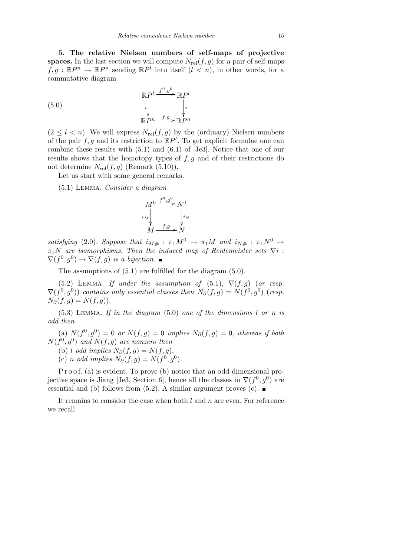**5. The relative Nielsen numbers of self-maps of projective spaces.** In the last section we will compute  $N_{rel}(f, g)$  for a pair of self-maps  $f, g : \mathbb{R}P^n \to \mathbb{R}P^n$  sending  $\mathbb{R}P^l$  into itself  $(l < n)$ , in other words, for a commutative diagram

(5.0) 
$$
\mathbb{R}P^l \xrightarrow{i} \mathbb{R}P^l
$$

$$
\downarrow \qquad \qquad \downarrow \qquad \downarrow \downarrow
$$

$$
\mathbb{R}P^n \xrightarrow{f,g} \mathbb{R}P^n
$$

 $(2 \leq l < n)$ . We will express  $N_{rel}(f, g)$  by the (ordinary) Nielsen numbers of the pair  $f, g$  and its restriction to  $\mathbb{R}P^l$ . To get explicit formulae one can combine these results with (5.1) and (6.1) of [Je3]. Notice that one of our results shows that the homotopy types of *f, g* and of their restrictions do not determine  $N_{\text{rel}}(f, g)$  (Remark (5.10)).

Let us start with some general remarks.

(5.1) Lemma. *Consider a diagram*

$$
M^{0} \xrightarrow{f^{0},g^{0}} N^{0}
$$
  
\n
$$
i_{M}
$$
  
\n
$$
M \xrightarrow{f,g} N
$$
  
\n
$$
i_{N}
$$

*satisfying* (2.0)*. Suppose that*  $i_{M#}: \pi_1 M^0 \rightarrow \pi_1 M$  and  $i_{N#}: \pi_1 N^0 \rightarrow$  $\pi_1 N$  *are isomorphisms. Then the induced map of Reidemeister sets*  $\nabla i$ :  $\nabla(f^0, g^0) \to \nabla(f, g)$  *is a bijection.* 

The assumptions of (5.1) are fulfilled for the diagram (5.0).

(5.2) LEMMA. *If under the assumption of* (5.1),  $\nabla(f, g)$  (*or resp.*  $\nabla(f^{0}, g^{0})$  *contains only essential classes then*  $N_{\partial}(f, g) = N(f^{0}, g^{0})$  (*resp.*  $N_{\partial}(f, g) = N(f, g)$ .

(5.3) Lemma. *If in the diagram* (5.0) *one of the dimensions l or n is odd then*

(a)  $N(f^0, g^0) = 0$  *or*  $N(f, g) = 0$  *implies*  $N_{\partial}(f, g) = 0$ *, whereas if both*  $N(f^0, g^0)$  *and*  $N(f, g)$  *are nonzero then* 

(b) *l odd implies*  $N_{\partial}(f, g) = N(f, g)$ ,

(c) *n odd implies*  $N_{\partial}(f, g) = N(f^0, g^0)$ *.* 

P r o o f. (a) is evident. To prove (b) notice that an odd-dimensional projective space is Jiang [Je3, Section 6], hence all the classes in  $\nabla (f^0, g^0)$  are essential and (b) follows from (5.2). A similar argument proves (c).  $\blacksquare$ 

It remains to consider the case when both *l* and *n* are even. For reference we recall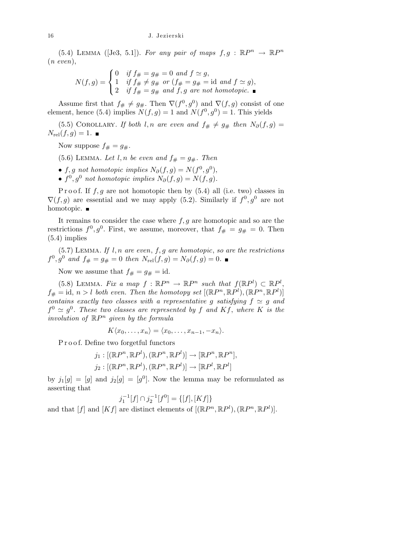(5.4) LEMMA ([Je3, 5.1]). For any pair of maps  $f, g : \mathbb{R}P^n \to \mathbb{R}P^n$ (*n even*),  $\overline{a}$ 

$$
N(f,g) = \begin{cases} 0 & \text{if } f_{\#} = g_{\#} = 0 \text{ and } f \simeq g, \\ 1 & \text{if } f_{\#} \neq g_{\#} \text{ or } (f_{\#} = g_{\#} = \text{id} \text{ and } f \simeq g), \\ 2 & \text{if } f_{\#} = g_{\#} \text{ and } f, g \text{ are not homotopic.} \end{cases}
$$

Assume first that  $f_{#} \neq g_{#}$ . Then  $\nabla(f^0, g^0)$  and  $\nabla(f, g)$  consist of one element, hence (5.4) implies  $N(f, g) = 1$  and  $N(f^0, g^0) = 1$ . This yields

(5.5) COROLLARY. *If both l,n* are even and  $f# \neq g#$  then  $N_{\partial}(f,g)$  =  $N_{\text{rel}}(f, g) = 1.$ 

Now suppose  $f_{\#} = g_{\#}.$ 

- (5.6) LEMMA. Let  $l, n$  be even and  $f_{\#} = g_{\#}$ . Then
- $f, g$  *not homotopic implies*  $N_{\partial}(f, g) = N(f^0, g^0)$ ,
- $f^0, g^0$  *not homotopic implies*  $N_\partial(f, g) = N(f, g)$ .

P r o o f. If  $f, g$  are not homotopic then by  $(5.4)$  all (i.e. two) classes in  $\nabla(f,g)$  are essential and we may apply (5.2). Similarly if  $f^0, g^0$  are not homotopic. ■

It remains to consider the case where *f, g* are homotopic and so are the restrictions  $f^0, g^0$ . First, we assume, moreover, that  $f_{\#} = g_{\#} = 0$ . Then (5.4) implies

(5.7) Lemma. *If l, n are even*, *f, g are homotopic*, *so are the restrictions*  $f^{0}, g^{0}$  and  $f_{\#} = g_{\#} = 0$  then  $N_{rel}(f, g) = N_{\partial}(f, g) = 0$ .

Now we assume that  $f_{\#} = g_{\#} = id$ .

(5.8) LEMMA. *Fix a map*  $f : \mathbb{R}P^n \to \mathbb{R}P^n$  *such that*  $f(\mathbb{R}P^l) \subset \mathbb{R}P^l$ ,  $f_{\#} = id, n > l$  *both even. Then the homotopy set*  $[(\mathbb{R}P^n, \mathbb{R}P^l), (\mathbb{R}P^n, \mathbb{R}P^l)]$ *contains exactly two classes with a representative g satisfying*  $f \simeq g$  *and*  $f^0 \simeq g^0$ . These two classes are represented by f and Kf, where K is the *involution of* R*P <sup>n</sup> given by the formula*

 $K\langle x_0, \ldots, x_n \rangle = \langle x_0, \ldots, x_{n-1}, \ldots, x_n \rangle$ .

P r o o f. Define two forgetful functors

$$
j_1: [(\mathbb{R}P^n, \mathbb{R}P^l), (\mathbb{R}P^n, \mathbb{R}P^l)] \to [\mathbb{R}P^n, \mathbb{R}P^n],
$$
  

$$
j_2: [(\mathbb{R}P^n, \mathbb{R}P^l), (\mathbb{R}P^n, \mathbb{R}P^l)] \to [\mathbb{R}P^l, \mathbb{R}P^l]
$$

by  $j_1[g] = [g]$  and  $j_2[g] = [g^0]$ . Now the lemma may be reformulated as asserting that

$$
j_1^{-1}[f] \cap j_2^{-1}[f^0] = \{ [f], [Kf] \}
$$

and that  $[f]$  and  $[Kf]$  are distinct elements of  $[(\mathbb{R}P^n, \mathbb{R}P^l), (\mathbb{R}P^n, \mathbb{R}P^l)].$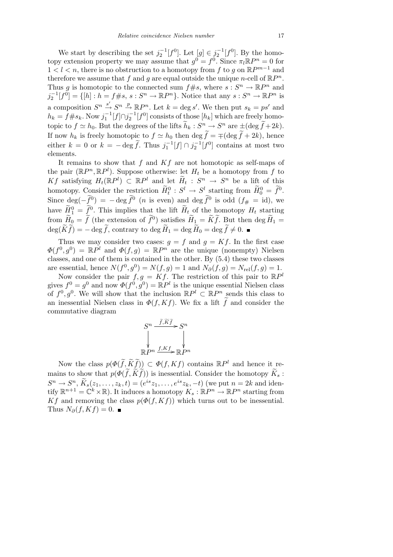We start by describing the set  $j_2^{-1}[f^0]$ . Let  $[g] \in j_2^{-1}[f^0]$ . By the homotopy extension property we may assume that  $g^0 = f^0$ . Since  $\pi_l \mathbb{R}P^n = 0$  for 1 *< l < n*, there is no obstruction to a homotopy from *f* to *g* on R*P m−*1 and therefore we assume that  $f$  and  $g$  are equal outside the unique *n*-cell of  $\mathbb{R}P^n$ . Thus *g* is homotopic to the connected sum  $f \# s$ , where  $s : S^n \to \mathbb{R}P^n$  and  $j_2^{-1}[f^0] = \{ [h] : h = f \# s, s : S^n \to \mathbb{R}P^n \}$ . Notice that any  $s : S^n \to \mathbb{R}P^n$  is a composition  $S^n \xrightarrow{S'} S^n \xrightarrow{p} \mathbb{R}P^n$ . Let  $k = \text{deg } s'$ . We then put  $s_k = ps'$  and  $h_k = f \# s_k$ . Now  $j_1^{-1}[f] \cap j_2^{-1}[f^0]$  consists of those  $[h_k]$  which are freely homotopic to  $f \simeq h_0$ . But the degrees of the lifts  $\widetilde{h}_k : S^n \to S^n$  are  $\pm (\deg \widetilde{f} + 2k)$ . If now  $h_k$  is freely homotopic to  $f \simeq h_0$  then deg  $\tilde{f} = \pm (\text{deg } \tilde{f} + 2k)$ , hence either  $k = 0$  or  $k = -\deg \tilde{f}$ . Thus  $j_1^{-1}[f] \cap j_2^{-1}[f^0]$  contains at most two elements.

It remains to show that *f* and *Kf* are not homotopic as self-maps of the pair  $(\mathbb{R}P^n, \mathbb{R}P^l)$ . Suppose otherwise: let  $H_t$  be a homotopy from f to *Kf* satisfying  $H_t(\mathbb{R}P^l)$  ⊂  $\mathbb{R}P^l$  and let  $\widetilde{H}_t$  :  $S^n$  →  $S^n$  be a lift of this homotopy. Consider the restriction  $\widetilde{H}_t^0$  :  $S^l \to S^l$  starting from  $\widetilde{H}_0^0 = \widetilde{f}^0$ . Since  $deg(-\tilde{f}^0) = -deg \tilde{f}^0$  (*n* is even) and  $deg \tilde{f}^0$  is odd ( $f_{#} = id$ ), we have  $\widetilde{H}_1^0 = \widetilde{f}^0$ . This implies that the lift  $\widetilde{H}_t$  of the homotopy  $H_t$  starting from  $\widetilde{H}_0 = \widetilde{f}$  (the extension of  $\widetilde{f}^0$ ) satisfies  $\widetilde{H}_1 = \widetilde{K}\widetilde{f}$ . But then deg  $\widetilde{H}_1 =$  $\deg(\widetilde{K}\widetilde{f}) = -\deg\widetilde{f}$ , contrary to  $\deg\widetilde{H}_1 = \deg\widetilde{H}_0 = \deg\widetilde{f} \neq 0$ .

Thus we may consider two cases:  $g = f$  and  $g = Kf$ . In the first case  $\Phi(f^0, g^0) = \mathbb{R}P^l$  and  $\Phi(f, g) = \mathbb{R}P^n$  are the unique (nonempty) Nielsen classes, and one of them is contained in the other. By (5.4) these two classes are essential, hence  $N(f^0, g^0) = N(f, g) = 1$  and  $N_{\partial}(f, g) = N_{\text{rel}}(f, g) = 1$ .

Now consider the pair  $f, g = Kf$ . The restriction of this pair to  $\mathbb{R}P^l$ gives  $f^0 = g^0$  and now  $\Phi(f^0, g^0) = \mathbb{R}P^l$  is the unique essential Nielsen class of  $f^0, g^0$ . We will show that the inclusion  $\mathbb{R}P^l \subset \mathbb{R}P^n$  sends this class to an inessential Nielsen class in  $\Phi(f, Kf)$ . We fix a lift  $\tilde{f}$  and consider the commutative diagram

$$
S^n \xrightarrow{\widetilde{f}, \widetilde{K}\widetilde{f}} S^n
$$
  
\n
$$
\downarrow \qquad \qquad \downarrow
$$
  
\n
$$
\mathbb{R}P^n \xrightarrow{f, Kf} \mathbb{R}P^n
$$

Now the class  $p(\Phi(\tilde{f}, \tilde{K}\tilde{f})) \subset \Phi(f, Kf)$  contains  $\mathbb{R}P^l$  and hence it remains to show that  $p(\Phi(\tilde{f}, \tilde{K}\tilde{f}))$  is inessential. Consider the homotopy  $\tilde{K}_s$ :  $S^n \to S^n$ ,  $\widetilde{K}_s(z_1,\ldots,z_k,t) = (e^{is}z_1,\ldots,e^{is}z_k,-t)$  (we put  $n=2k$  and identify  $\mathbb{R}^{n+1} = \mathbb{C}^k \times \mathbb{R}$ . It induces a homotopy  $K_s : \mathbb{R}P^n \to \mathbb{R}P^n$  starting from *Kf* and removing the class  $p(\Phi(f, Kf))$  which turns out to be inessential. Thus  $N_{\partial}(f, Kf) = 0$ . ■